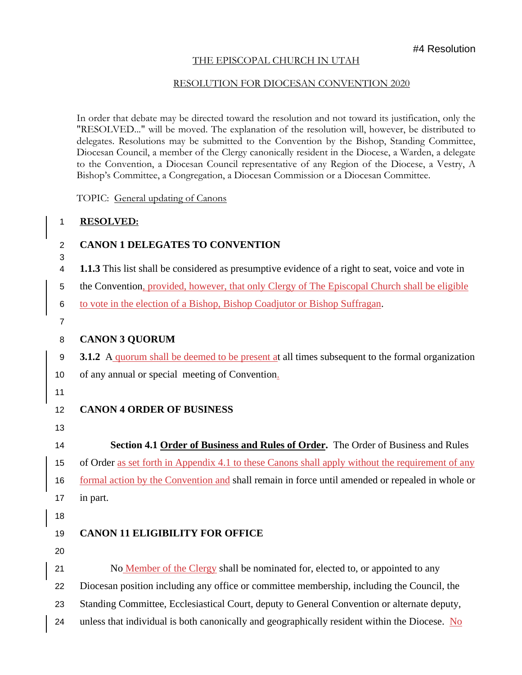### THE EPISCOPAL CHURCH IN UTAH

#### RESOLUTION FOR DIOCESAN CONVENTION 2020

In order that debate may be directed toward the resolution and not toward its justification, only the "RESOLVED..." will be moved. The explanation of the resolution will, however, be distributed to delegates. Resolutions may be submitted to the Convention by the Bishop, Standing Committee, Diocesan Council, a member of the Clergy canonically resident in the Diocese, a Warden, a delegate to the Convention, a Diocesan Council representative of any Region of the Diocese, a Vestry, A Bishop's Committee, a Congregation, a Diocesan Commission or a Diocesan Committee.

TOPIC: General updating of Canons

#### **RESOLVED:**

## **CANON 1 DELEGATES TO CONVENTION**

- **1.1.3** This list shall be considered as presumptive evidence of a right to seat, voice and vote in
- the Convention, provided, however, that only Clergy of The Episcopal Church shall be eligible
- to vote in the election of a Bishop, Bishop Coadjutor or Bishop Suffragan.
- 

## **CANON 3 QUORUM**

**3.1.2** A quorum shall be deemed to be present at all times subsequent to the formal organization

- of any annual or special meeting of Convention.
- 

# **CANON 4 ORDER OF BUSINESS**

- 
- **Section 4.1 Order of Business and Rules of Order.** The Order of Business and Rules

of Order as set forth in Appendix 4.1 to these Canons shall apply without the requirement of any

16 formal action by the Convention and shall remain in force until amended or repealed in whole or in part.

- 
- 

# **CANON 11 ELIGIBILITY FOR OFFICE**

 No Member of the Clergy shall be nominated for, elected to, or appointed to any Diocesan position including any office or committee membership, including the Council, the Standing Committee, Ecclesiastical Court, deputy to General Convention or alternate deputy,

unless that individual is both canonically and geographically resident within the Diocese. No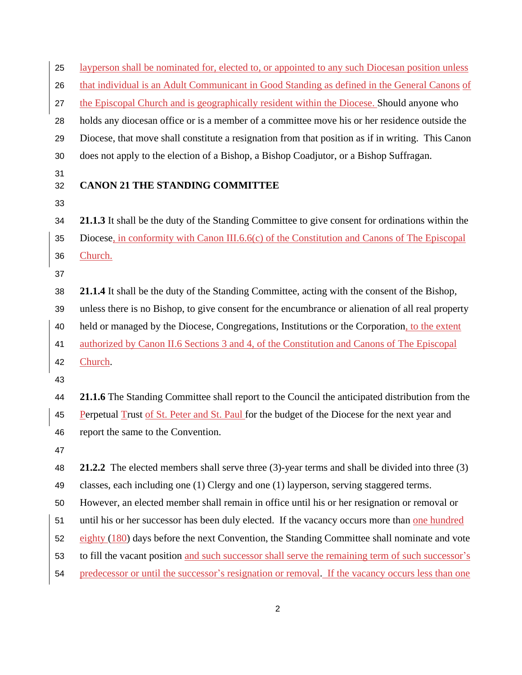| 25 | layperson shall be nominated for, elected to, or appointed to any such Diocesan position unless                                 |
|----|---------------------------------------------------------------------------------------------------------------------------------|
| 26 | that individual is an Adult Communicant in Good Standing as defined in the General Canons of                                    |
| 27 | the Episcopal Church and is geographically resident within the Diocese. Should anyone who                                       |
| 28 | holds any diocesan office or is a member of a committee move his or her residence outside the                                   |
| 29 | Diocese, that move shall constitute a resignation from that position as if in writing. This Canon                               |
| 30 | does not apply to the election of a Bishop, a Bishop Coadjutor, or a Bishop Suffragan.                                          |
| 31 |                                                                                                                                 |
| 32 | <b>CANON 21 THE STANDING COMMITTEE</b>                                                                                          |
| 33 |                                                                                                                                 |
| 34 | 21.1.3 It shall be the duty of the Standing Committee to give consent for ordinations within the                                |
| 35 | Diocese, in conformity with Canon III.6.6(c) of the Constitution and Canons of The Episcopal                                    |
| 36 | Church.                                                                                                                         |
| 37 |                                                                                                                                 |
| 38 | 21.1.4 It shall be the duty of the Standing Committee, acting with the consent of the Bishop,                                   |
| 39 | unless there is no Bishop, to give consent for the encumbrance or alienation of all real property                               |
| 40 | held or managed by the Diocese, Congregations, Institutions or the Corporation, to the extent                                   |
| 41 | authorized by Canon II.6 Sections 3 and 4, of the Constitution and Canons of The Episcopal                                      |
| 42 | Church.                                                                                                                         |
| 43 |                                                                                                                                 |
| 44 | 21.1.6 The Standing Committee shall report to the Council the anticipated distribution from the                                 |
| 45 | Perpetual Trust of St. Peter and St. Paul for the budget of the Diocese for the next year and                                   |
| 46 | report the same to the Convention.                                                                                              |
| 47 |                                                                                                                                 |
| 48 | 21.2.2 The elected members shall serve three (3)-year terms and shall be divided into three (3)                                 |
| 49 | classes, each including one (1) Clergy and one (1) layperson, serving staggered terms.                                          |
| 50 | However, an elected member shall remain in office until his or her resignation or removal or                                    |
| 51 | until his or her successor has been duly elected. If the vacancy occurs more than one hundred                                   |
| 52 | $\frac{\text{eighty}(180)}{\text{eighty}(180)}$ days before the next Convention, the Standing Committee shall nominate and vote |
| 53 | to fill the vacant position and such successor shall serve the remaining term of such successor's                               |
| 54 | predecessor or until the successor's resignation or removal. If the vacancy occurs less than one                                |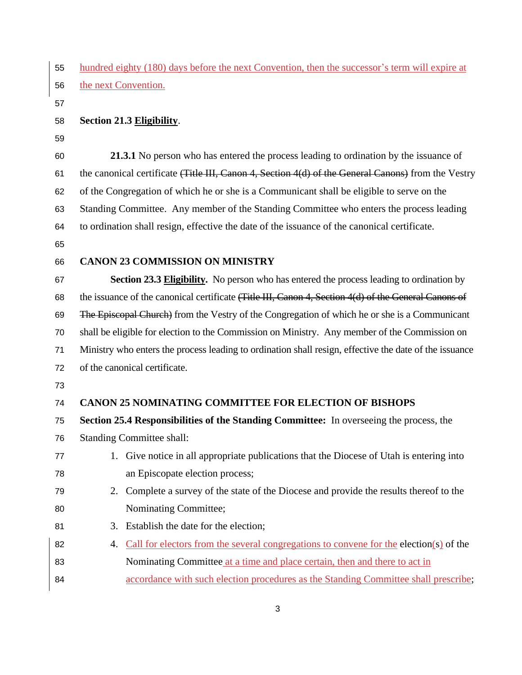| 55 | hundred eighty (180) days before the next Convention, then the successor's term will expire at         |  |
|----|--------------------------------------------------------------------------------------------------------|--|
| 56 | the next Convention.                                                                                   |  |
| 57 |                                                                                                        |  |
| 58 | Section 21.3 Eligibility.                                                                              |  |
| 59 |                                                                                                        |  |
| 60 | 21.3.1 No person who has entered the process leading to ordination by the issuance of                  |  |
| 61 | the canonical certificate (Title III, Canon 4, Section 4(d) of the General Canons) from the Vestry     |  |
| 62 | of the Congregation of which he or she is a Communicant shall be eligible to serve on the              |  |
| 63 | Standing Committee. Any member of the Standing Committee who enters the process leading                |  |
| 64 | to ordination shall resign, effective the date of the issuance of the canonical certificate.           |  |
| 65 |                                                                                                        |  |
| 66 | <b>CANON 23 COMMISSION ON MINISTRY</b>                                                                 |  |
| 67 | <b>Section 23.3 Eligibility.</b> No person who has entered the process leading to ordination by        |  |
| 68 | the issuance of the canonical certificate (Title III, Canon 4, Section 4(d) of the General Canons of   |  |
| 69 | The Episcopal Church) from the Vestry of the Congregation of which he or she is a Communicant          |  |
| 70 | shall be eligible for election to the Commission on Ministry. Any member of the Commission on          |  |
| 71 | Ministry who enters the process leading to ordination shall resign, effective the date of the issuance |  |
| 72 | of the canonical certificate.                                                                          |  |
| 73 |                                                                                                        |  |
| 74 | <b>CANON 25 NOMINATING COMMITTEE FOR ELECTION OF BISHOPS</b>                                           |  |
| 75 | Section 25.4 Responsibilities of the Standing Committee: In overseeing the process, the                |  |
| 76 | <b>Standing Committee shall:</b>                                                                       |  |
| 77 | 1. Give notice in all appropriate publications that the Diocese of Utah is entering into               |  |
| 78 | an Episcopate election process;                                                                        |  |
| 79 | Complete a survey of the state of the Diocese and provide the results thereof to the<br>2.             |  |
| 80 | Nominating Committee;                                                                                  |  |
| 81 | Establish the date for the election;<br>3.                                                             |  |
| 82 | Call for electors from the several congregations to convene for the election(s) of the<br>4.           |  |
| 83 | Nominating Committee at a time and place certain, then and there to act in                             |  |
| 84 | accordance with such election procedures as the Standing Committee shall prescribe;                    |  |
|    |                                                                                                        |  |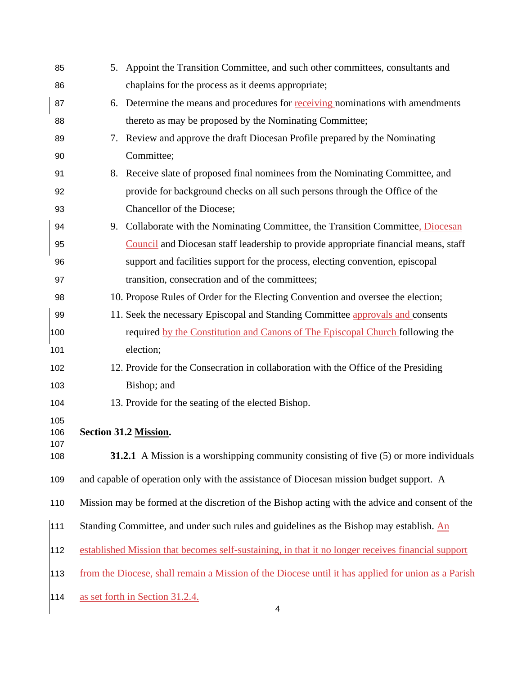| 85                | 5. Appoint the Transition Committee, and such other committees, consultants and                    |
|-------------------|----------------------------------------------------------------------------------------------------|
| 86                | chaplains for the process as it deems appropriate;                                                 |
| 87                | 6. Determine the means and procedures for receiving nominations with amendments                    |
| 88                | thereto as may be proposed by the Nominating Committee;                                            |
| 89                | 7. Review and approve the draft Diocesan Profile prepared by the Nominating                        |
| 90                | Committee;                                                                                         |
| 91                | 8. Receive slate of proposed final nominees from the Nominating Committee, and                     |
| 92                | provide for background checks on all such persons through the Office of the                        |
| 93                | Chancellor of the Diocese;                                                                         |
| 94                | 9. Collaborate with the Nominating Committee, the Transition Committee, Diocesan                   |
| 95                | Council and Diocesan staff leadership to provide appropriate financial means, staff                |
| 96                | support and facilities support for the process, electing convention, episcopal                     |
| 97                | transition, consecration and of the committees;                                                    |
| 98                | 10. Propose Rules of Order for the Electing Convention and oversee the election;                   |
| 99                | 11. Seek the necessary Episcopal and Standing Committee approvals and consents                     |
| 100               | required by the Constitution and Canons of The Episcopal Church following the                      |
| 101               | election;                                                                                          |
| 102               | 12. Provide for the Consecration in collaboration with the Office of the Presiding                 |
| 103               | Bishop; and                                                                                        |
| 104               | 13. Provide for the seating of the elected Bishop.                                                 |
| 105<br>106<br>107 | Section 31.2 Mission.                                                                              |
| 108               | <b>31.2.1</b> A Mission is a worshipping community consisting of five (5) or more individuals      |
| 109               | and capable of operation only with the assistance of Diocesan mission budget support. A            |
| 110               | Mission may be formed at the discretion of the Bishop acting with the advice and consent of the    |
| 111               | Standing Committee, and under such rules and guidelines as the Bishop may establish. An            |
| 112               | established Mission that becomes self-sustaining, in that it no longer receives financial support  |
| 113               | from the Diocese, shall remain a Mission of the Diocese until it has applied for union as a Parish |
| 114               | as set forth in Section 31.2.4.                                                                    |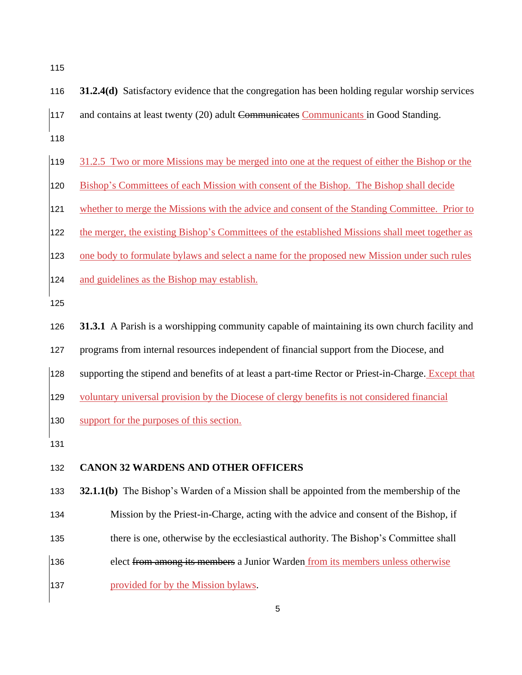- **31.2.4(d)** Satisfactory evidence that the congregation has been holding regular worship services 117 and contains at least twenty (20) adult Communicates Communicants in Good Standing.
- 31.2.5 Two or more Missions may be merged into one at the request of either the Bishop or the
- 120 Bishop's Committees of each Mission with consent of the Bishop. The Bishop shall decide
- whether to merge the Missions with the advice and consent of the Standing Committee. Prior to
- the merger, the existing Bishop's Committees of the established Missions shall meet together as
- one body to formulate bylaws and select a name for the proposed new Mission under such rules
- and guidelines as the Bishop may establish.
- 
- **31.3.1** A Parish is a worshipping community capable of maintaining its own church facility and
- programs from internal resources independent of financial support from the Diocese, and
- 128 supporting the stipend and benefits of at least a part-time Rector or Priest-in-Charge. Except that
- voluntary universal provision by the Diocese of clergy benefits is not considered financial
- support for the purposes of this section.
- 

#### **CANON 32 WARDENS AND OTHER OFFICERS**

**32.1.1(b)** The Bishop's Warden of a Mission shall be appointed from the membership of the

- Mission by the Priest-in-Charge, acting with the advice and consent of the Bishop, if
- there is one, otherwise by the ecclesiastical authority. The Bishop's Committee shall
- 136 elect from among its members a Junior Warden from its members unless otherwise
- **provided for by the Mission bylaws.**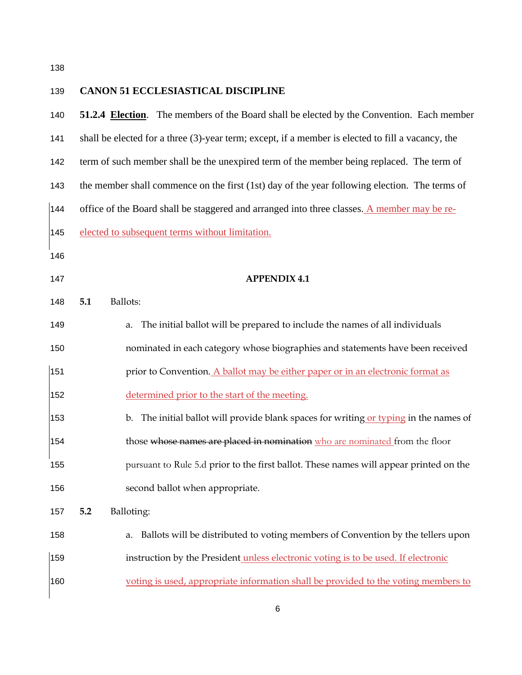| 139 | <b>CANON 51 ECCLESIASTICAL DISCIPLINE</b>                                                         |  |
|-----|---------------------------------------------------------------------------------------------------|--|
| 140 | 51.2.4 Election. The members of the Board shall be elected by the Convention. Each member         |  |
| 141 | shall be elected for a three (3)-year term; except, if a member is elected to fill a vacancy, the |  |
| 142 | term of such member shall be the unexpired term of the member being replaced. The term of         |  |
| 143 | the member shall commence on the first (1st) day of the year following election. The terms of     |  |
| 144 | office of the Board shall be staggered and arranged into three classes. A member may be re-       |  |
| 145 | elected to subsequent terms without limitation.                                                   |  |
| 146 |                                                                                                   |  |
| 147 | <b>APPENDIX 4.1</b>                                                                               |  |
| 148 | Ballots:<br>5.1                                                                                   |  |
| 149 | The initial ballot will be prepared to include the names of all individuals<br>a.                 |  |
| 150 | nominated in each category whose biographies and statements have been received                    |  |
| 151 | prior to Convention. A ballot may be either paper or in an electronic format as                   |  |
| 152 | determined prior to the start of the meeting.                                                     |  |
| 153 | The initial ballot will provide blank spaces for writing or typing in the names of<br>b.          |  |
| 154 | those whose names are placed in nomination who are nominated from the floor                       |  |
| 155 | pursuant to Rule 5.d prior to the first ballot. These names will appear printed on the            |  |
| 156 | second ballot when appropriate.                                                                   |  |
| 157 | 5.2<br>Balloting:                                                                                 |  |
| 158 | Ballots will be distributed to voting members of Convention by the tellers upon<br>a.             |  |
| 159 | instruction by the President unless electronic voting is to be used. If electronic                |  |
| 160 | voting is used, appropriate information shall be provided to the voting members to                |  |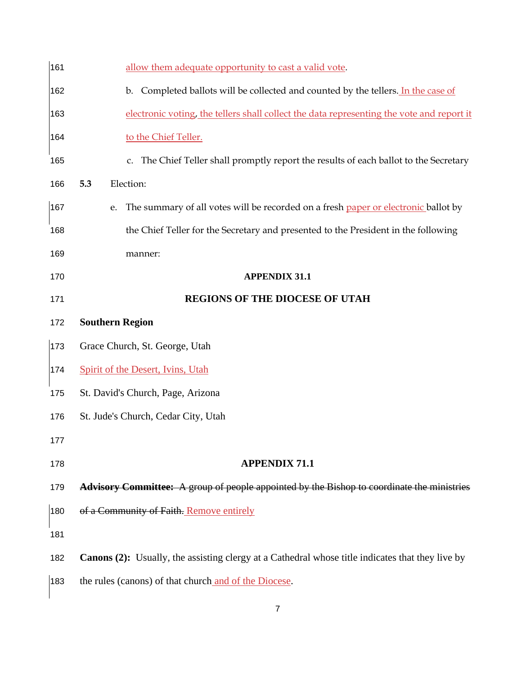| 161 | allow them adequate opportunity to cast a valid vote.                                                   |
|-----|---------------------------------------------------------------------------------------------------------|
| 162 | Completed ballots will be collected and counted by the tellers. In the case of<br>$\mathbf{b}$ .        |
| 163 | electronic voting, the tellers shall collect the data representing the vote and report it               |
| 164 | to the Chief Teller.                                                                                    |
| 165 | c. The Chief Teller shall promptly report the results of each ballot to the Secretary                   |
| 166 | Election:<br>5.3                                                                                        |
| 167 | The summary of all votes will be recorded on a fresh paper or electronic ballot by<br>e.                |
| 168 | the Chief Teller for the Secretary and presented to the President in the following                      |
| 169 | manner:                                                                                                 |
| 170 | <b>APPENDIX 31.1</b>                                                                                    |
| 171 | <b>REGIONS OF THE DIOCESE OF UTAH</b>                                                                   |
| 172 | <b>Southern Region</b>                                                                                  |
| 173 | Grace Church, St. George, Utah                                                                          |
| 174 | Spirit of the Desert, Ivins, Utah                                                                       |
| 175 | St. David's Church, Page, Arizona                                                                       |
| 176 | St. Jude's Church, Cedar City, Utah                                                                     |
| 177 |                                                                                                         |
| 178 | <b>APPENDIX 71.1</b>                                                                                    |
| 179 | Advisory Committee: A group of people appointed by the Bishop to coordinate the ministries              |
| 180 | of a Community of Faith. Remove entirely                                                                |
| 181 |                                                                                                         |
| 182 | <b>Canons (2):</b> Usually, the assisting clergy at a Cathedral whose title indicates that they live by |
| 183 | the rules (canons) of that church and of the Diocese.                                                   |
|     |                                                                                                         |